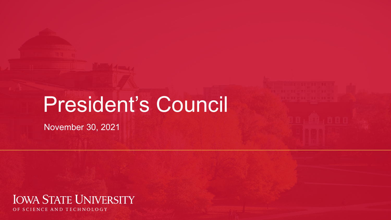# President's Council

November 30, 2021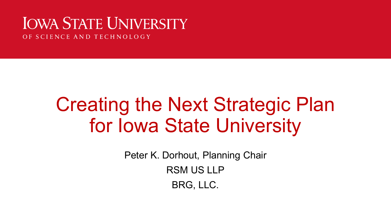### **IOWA STATE UNIVERSITY**

OF SCIENCE AND TECHNOLOGY

# Creating the Next Strategic Plan for Iowa State University

Peter K. Dorhout, Planning Chair

RSM US LLP

BRG, LLC.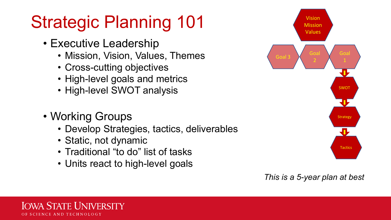## Strategic Planning 101

- Executive Leadership
	- Mission, Vision, Values, Themes
	- Cross-cutting objectives
	- High-level goals and metrics
	- High-level SWOT analysis
- Working Groups

Iowa State Hniversity

**SCIENCE AND TECHNOLOGY** 

- Develop Strategies, tactics, deliverables
- Static, not dynamic
- Traditional "to do" list of tasks
- Units react to high-level goals



#### *This is a 5-year plan at best*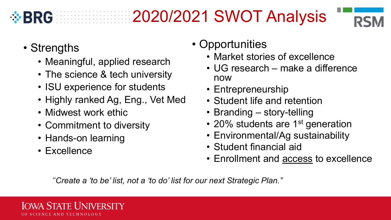

### **BRG 2020/2021 SWOT Analysis**



- Strengths
	- Meaningful, applied research
	- The science & tech university
	- ISU experience for students
	- Highly ranked Ag, Eng., Vet Med
	- Midwest work ethic
	- Commitment to diversity
	- Hands-on learning
	- Excellence
- Opportunities
	- Market stories of excellence
	- UG research make a difference now
	- Entrepreneurship
	- Student life and retention
	- Branding story-telling
	- 20% students are 1<sup>st</sup> generation
	- Environmental/Ag sustainability
	- Student financial aid
	- Enrollment and access to excellence

*"Create a 'to be' list, not a 'to do' list for our next Strategic Plan."*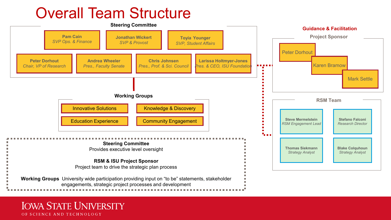#### Overall Team Structure

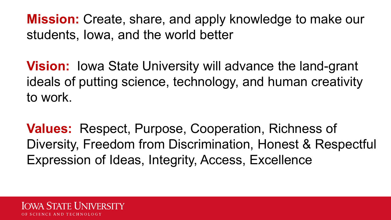**Mission:** Create, share, and apply knowledge to make our students, Iowa, and the world better

**Vision:** Iowa State University will advance the land-grant ideals of putting science, technology, and human creativity to work.

**Values:** Respect, Purpose, Cooperation, Richness of Diversity, Freedom from Discrimination, Honest & Respectful Expression of Ideas, Integrity, Access, Excellence

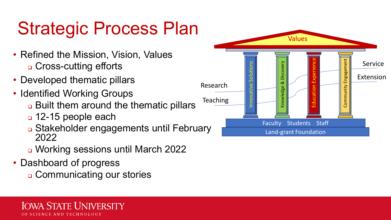# Strategic Process Plan

- Refined the Mission, Vision, Values □ Cross-cutting efforts
- Developed thematic pillars
- Identified Working Groups
	- **Built them around the thematic pillars**
	- 12-15 people each
	- Stakeholder engagements until February 2022
	- Working sessions until March 2022
- Dashboard of progress
	- Communicating our stories

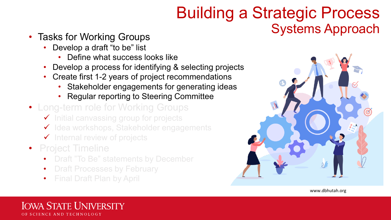### Building a Strategic Process • Tasks for Working Groups **Example 20 and Systems Approach**

- - Develop a draft "to be" list
		- Define what success looks like
	- Develop a process for identifying & selecting projects
	- Create first 1-2 years of project recommendations
		- Stakeholder engagements for generating ideas
		- Regular reporting to Steering Committee
- Long-term role for Working Groups
	- $\checkmark$  Initial canvassing group for projects
	- $\checkmark$  Idea workshops, Stakeholder engagements
	- $\checkmark$  Internal review of projects
- Project Timeline
	- Draft "To Be" statements by December
	- Draft Processes by February
	- Final Draft Plan by April

Office of the Vice President for Research

www.dbhutah.org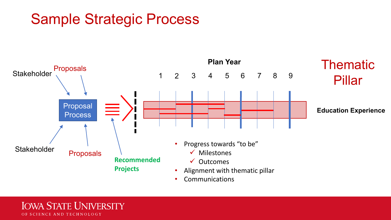#### Sample Strategic Process